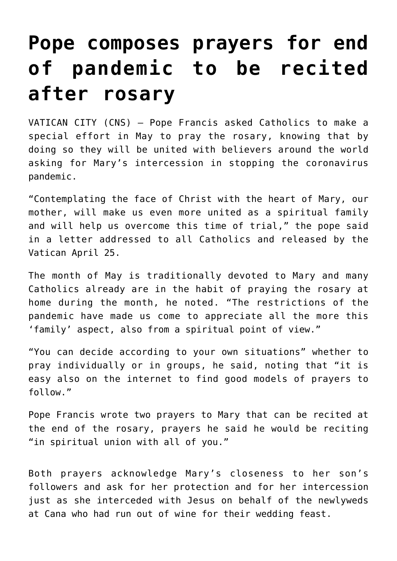## **[Pope composes prayers for end](https://www.osvnews.com/2020/04/25/pope-composes-prayers-for-end-of-pandemic-to-be-recited-after-rosary/) [of pandemic to be recited](https://www.osvnews.com/2020/04/25/pope-composes-prayers-for-end-of-pandemic-to-be-recited-after-rosary/) [after rosary](https://www.osvnews.com/2020/04/25/pope-composes-prayers-for-end-of-pandemic-to-be-recited-after-rosary/)**

VATICAN CITY (CNS) — Pope Francis asked Catholics to make a special effort in May to pray the rosary, knowing that by doing so they will be united with believers around the world asking for Mary's intercession in stopping the coronavirus pandemic.

"Contemplating the face of Christ with the heart of Mary, our mother, will make us even more united as a spiritual family and will help us overcome this time of trial," the pope said in a letter addressed to all Catholics and released by the Vatican April 25.

The month of May is traditionally devoted to Mary and many Catholics already are in the habit of praying the rosary at home during the month, he noted. "The restrictions of the pandemic have made us come to appreciate all the more this 'family' aspect, also from a spiritual point of view."

"You can decide according to your own situations" whether to pray individually or in groups, he said, noting that "it is easy also on the internet to find good models of prayers to follow."

Pope Francis wrote two prayers to Mary that can be recited at the end of the rosary, prayers he said he would be reciting "in spiritual union with all of you."

Both prayers acknowledge Mary's closeness to her son's followers and ask for her protection and for her intercession just as she interceded with Jesus on behalf of the newlyweds at Cana who had run out of wine for their wedding feast.